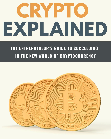## 2 YPT EXPLAINED

## THE ENTREPRENEUR'S GUIDE TO SUCCEEDING IN THE NEW WORLD OF CRYPTOCURRENCY

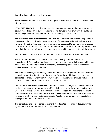**Copyright ©** All rights reserved worldwide.

**YOUR RIGHTS:** This book is restricted to your personal use only. It does not come with any other rights.

**LEGAL DISCLAIMER:** This book is protected by international copyright law and may not be copied, reproduced, given away, or used to create derivative works without the publisher's expressed permission. The publisher retains full copyrights to this book.

The author has made every reasonable effort to be as accurate and complete as possible in the creation of this book and to ensure that the information provided is free from errors; however, the author/publisher/ reseller assumes no responsibility for errors, omissions, or contrary interpretation of the subject matter herein and does not warrant or represent at any time that the contents within are accurate due to the rapidly changing nature of the internet.

Any perceived slights of specific persons, peoples, or organizations are unintentional.

The purpose of this book is to educate, and there are no guarantees of income, sales, or results implied. The publisher/author/reseller can, therefore, not be held accountable for any poor results you may attain when implementing the techniques or when following any guidelines set out for you in this book.

Any product, website, and company names mentioned in this report are the trademarks or copyright properties of their respective owners. The author/publisher/reseller are not associated or affiliated with them in any way. Nor does the referred product, website, and company names sponsor, endorse, or approve this product.

**COMPENSATION DISCLOSURE:** Unless otherwise expressly stated, you should assume that the links contained in this book may be affiliate links, and either the author/publisher/reseller will earn a commission if you click on them and buy the product/service mentioned in this book. However, the author/publisher/reseller disclaims any liability that may result from your involvement with any such websites/products. You should perform due diligence before buying the mentioned products or services.

This constitutes the entire license agreement. Any disputes or terms not discussed in this agreement are at the sole discretion of the publisher.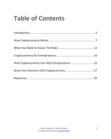## **Table of Contents**